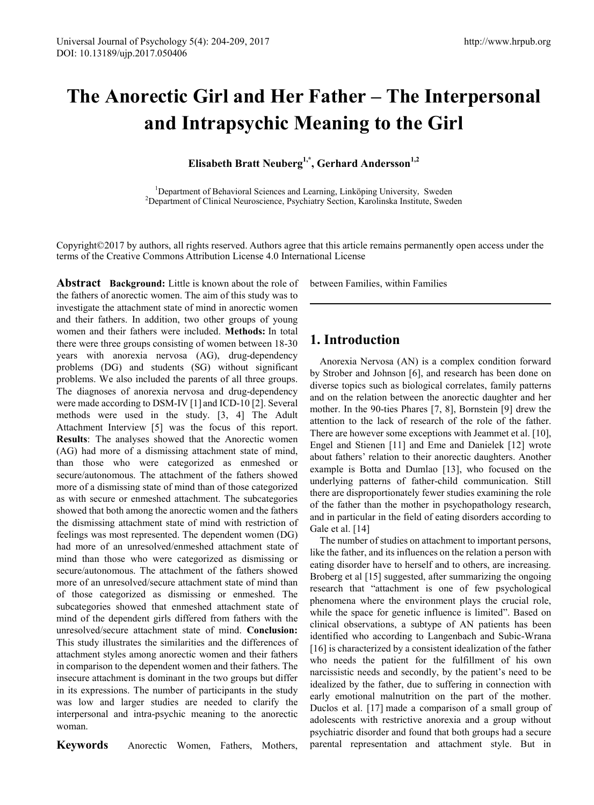# **The Anorectic Girl and Her Father – The Interpersonal and Intrapsychic Meaning to the Girl**

Elisabeth Bratt Neuberg<sup>1,\*</sup>, Gerhard Andersson<sup>1,2</sup>

<sup>1</sup>Department of Behavioral Sciences and Learning, Linköping University, Sweden <sup>2</sup>Department of Clinical Neuroscience, Psychiatry Section, Karolinska Institute, Sweden

Copyright©2017 by authors, all rights reserved. Authors agree that this article remains permanently open access under the terms of the Creative Commons Attribution License 4.0 International License

Abstract Background: Little is known about the role of the fathers of anorectic women. The aim of this study was to investigate the attachment state of mind in anorectic women and their fathers. In addition, two other groups of young women and their fathers were included. **Methods:** In total there were three groups consisting of women between 18-30 years with anorexia nervosa (AG), drug-dependency problems (DG) and students (SG) without significant problems. We also included the parents of all three groups. The diagnoses of anorexia nervosa and drug-dependency were made according to DSM-IV [1] and ICD-10 [2]. Several methods were used in the study. [3, 4] The Adult Attachment Interview [5] was the focus of this report. **Results**: The analyses showed that the Anorectic women (AG) had more of a dismissing attachment state of mind, than those who were categorized as enmeshed or secure/autonomous. The attachment of the fathers showed more of a dismissing state of mind than of those categorized as with secure or enmeshed attachment. The subcategories showed that both among the anorectic women and the fathers the dismissing attachment state of mind with restriction of feelings was most represented. The dependent women (DG) had more of an unresolved/enmeshed attachment state of mind than those who were categorized as dismissing or secure/autonomous. The attachment of the fathers showed more of an unresolved/secure attachment state of mind than of those categorized as dismissing or enmeshed. The subcategories showed that enmeshed attachment state of mind of the dependent girls differed from fathers with the unresolved/secure attachment state of mind. **Conclusion:**  This study illustrates the similarities and the differences of attachment styles among anorectic women and their fathers in comparison to the dependent women and their fathers. The insecure attachment is dominant in the two groups but differ in its expressions. The number of participants in the study was low and larger studies are needed to clarify the interpersonal and intra-psychic meaning to the anorectic woman.

**Keywords** Anorectic Women, Fathers, Mothers,

between Families, within Families

# **1. Introduction**

Anorexia Nervosa (AN) is a complex condition forward by Strober and Johnson [6], and research has been done on diverse topics such as biological correlates, family patterns and on the relation between the anorectic daughter and her mother. In the 90-ties Phares [7, 8], Bornstein [9] drew the attention to the lack of research of the role of the father. There are however some exceptions with Jeammet et al. [10], Engel and Stienen [11] and Eme and Danielek [12] wrote about fathers' relation to their anorectic daughters. Another example is Botta and Dumlao [13], who focused on the underlying patterns of father-child communication. Still there are disproportionately fewer studies examining the role of the father than the mother in psychopathology research, and in particular in the field of eating disorders according to Gale et al. [14]

The number of studies on attachment to important persons, like the father, and its influences on the relation a person with eating disorder have to herself and to others, are increasing. Broberg et al [15] suggested, after summarizing the ongoing research that "attachment is one of few psychological phenomena where the environment plays the crucial role, while the space for genetic influence is limited". Based on clinical observations, a subtype of AN patients has been identified who according to Langenbach and Subic-Wrana [16] is characterized by a consistent idealization of the father who needs the patient for the fulfillment of his own narcissistic needs and secondly, by the patient's need to be idealized by the father, due to suffering in connection with early emotional malnutrition on the part of the mother. Duclos et al. [17] made a comparison of a small group of adolescents with restrictive anorexia and a group without psychiatric disorder and found that both groups had a secure parental representation and attachment style. But in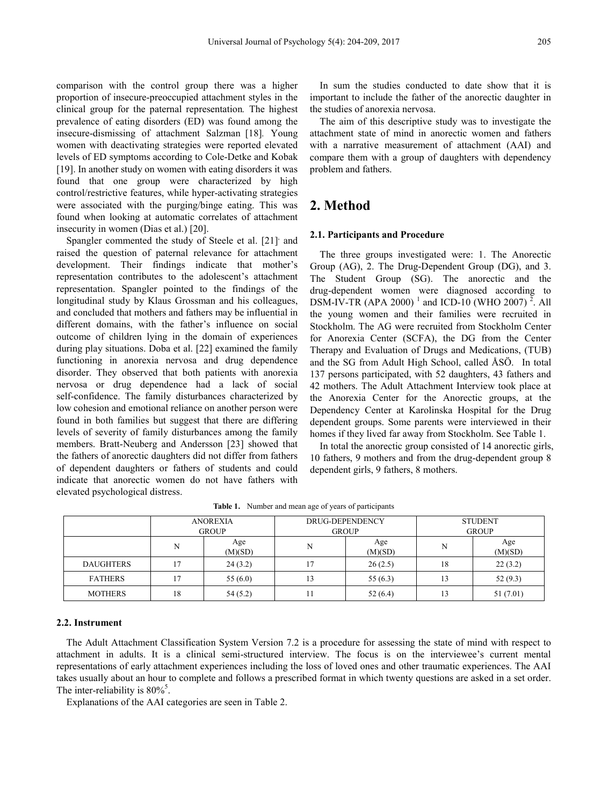comparison with the control group there was a higher proportion of insecure-preoccupied attachment styles in the clinical group for the paternal representation*.* The highest prevalence of eating disorders (ED) was found among the insecure-dismissing of attachment Salzman [18]*.* Young women with deactivating strategies were reported elevated levels of ED symptoms according to Cole-Detke and Kobak [19]. In another study on women with eating disorders it was found that one group were characterized by high control/restrictive features, while hyper-activating strategies were associated with the purging/binge eating. This was found when looking at automatic correlates of attachment insecurity in women (Dias et al.) [20].

Spangler commented the study of Steele et al. [21] and raised the question of paternal relevance for attachment development. Their findings indicate that mother's representation contributes to the adolescent's attachment representation. Spangler pointed to the findings of the longitudinal study by Klaus Grossman and his colleagues, and concluded that mothers and fathers may be influential in different domains, with the father's influence on social outcome of children lying in the domain of experiences during play situations. Doba et al. [22] examined the family functioning in anorexia nervosa and drug dependence disorder. They observed that both patients with anorexia nervosa or drug dependence had a lack of social self-confidence. The family disturbances characterized by low cohesion and emotional reliance on another person were found in both families but suggest that there are differing levels of severity of family disturbances among the family members. Bratt-Neuberg and Andersson [23] showed that the fathers of anorectic daughters did not differ from fathers of dependent daughters or fathers of students and could indicate that anorectic women do not have fathers with elevated psychological distress.

In sum the studies conducted to date show that it is important to include the father of the anorectic daughter in the studies of anorexia nervosa.

The aim of this descriptive study was to investigate the attachment state of mind in anorectic women and fathers with a narrative measurement of attachment (AAI) and compare them with a group of daughters with dependency problem and fathers.

# **2. Method**

#### **2.1. Participants and Procedure**

The three groups investigated were: 1. The Anorectic Group (AG), 2. The Drug-Dependent Group (DG), and 3. The Student Group (SG). The anorectic and the drug-dependent women were diagnosed according to DSM-IV-TR (APA 2000)<sup>1</sup> and ICD-10 (WHO 2007)<sup>2</sup>. All the young women and their families were recruited in Stockholm. The AG were recruited from Stockholm Center for Anorexia Center (SCFA), the DG from the Center Therapy and Evaluation of Drugs and Medications, (TUB) and the SG from Adult High School, called ÅSÖ. In total 137 persons participated, with 52 daughters, 43 fathers and 42 mothers. The Adult Attachment Interview took place at the Anorexia Center for the Anorectic groups, at the Dependency Center at Karolinska Hospital for the Drug dependent groups. Some parents were interviewed in their homes if they lived far away from Stockholm. See Table 1.

In total the anorectic group consisted of 14 anorectic girls, 10 fathers, 9 mothers and from the drug-dependent group 8 dependent girls, 9 fathers, 8 mothers.

|                  | <b>ANOREXIA</b> |                | DRUG-DEPENDENCY |                | <b>STUDENT</b> |                |
|------------------|-----------------|----------------|-----------------|----------------|----------------|----------------|
|                  | <b>GROUP</b>    |                | <b>GROUP</b>    |                | <b>GROUP</b>   |                |
|                  | N               | Age<br>(M)(SD) | N               | Age<br>(M)(SD) | N              | Age<br>(M)(SD) |
| <b>DAUGHTERS</b> | 7               | 24(3.2)        | 17              | 26(2.5)        | 18             | 22(3.2)        |
| <b>FATHERS</b>   | 7               | 55 $(6.0)$     | 13              | 55(6.3)        | 13             | 52(9.3)        |
| <b>MOTHERS</b>   | 18              | 54(5.2)        | 11              | 52(6.4)        | i3             | 51(7.01)       |

**Table 1.** Number and mean age of years of participants

#### **2.2. Instrument**

The Adult Attachment Classification System Version 7.2 is a procedure for assessing the state of mind with respect to attachment in adults. It is a clinical semi-structured interview. The focus is on the interviewee's current mental representations of early attachment experiences including the loss of loved ones and other traumatic experiences. The AAI takes usually about an hour to complete and follows a prescribed format in which twenty questions are asked in a set order. The inter-reliability is  $80\%$ <sup>5</sup>.

Explanations of the AAI categories are seen in Table 2.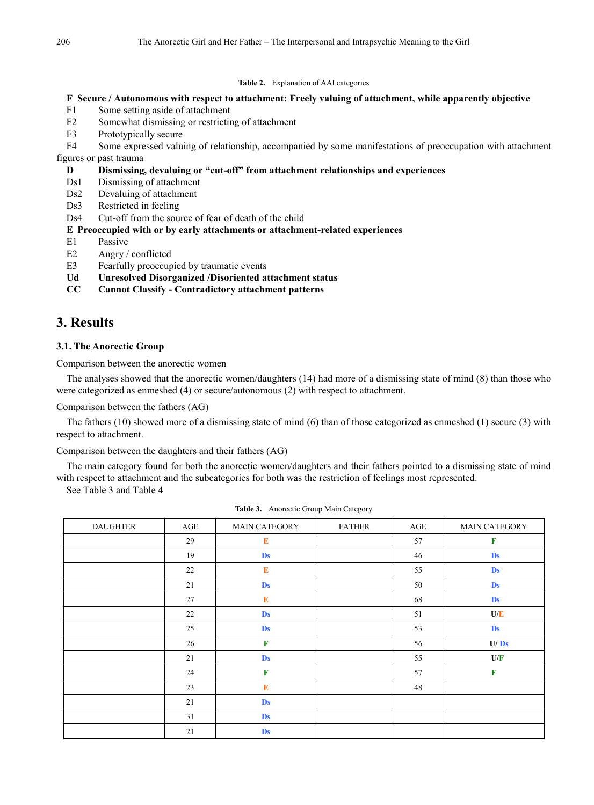#### **Table 2.** Explanation of AAI categories

#### **F Secure / Autonomous with respect to attachment: Freely valuing of attachment, while apparently objective**

- F1 Some setting aside of attachment
- F2 Somewhat dismissing or restricting of attachment
- F3 Prototypically secure
- F4 Some expressed valuing of relationship, accompanied by some manifestations of preoccupation with attachment figures or past trauma

#### **D Dismissing, devaluing or "cut-off" from attachment relationships and experiences**

- Ds1 Dismissing of attachment
- Ds2 Devaluing of attachment
- Ds3 Restricted in feeling
- Ds4 Cut-off from the source of fear of death of the child

#### **E Preoccupied with or by early attachments or attachment-related experiences**

- E1 Passive
- E2 Angry / conflicted
- E3 Fearfully preoccupied by traumatic events
- **Ud Unresolved Disorganized /Disoriented attachment status**
- **CC Cannot Classify - Contradictory attachment patterns**

# **3. Results**

#### **3.1. The Anorectic Group**

Comparison between the anorectic women

The analyses showed that the anorectic women/daughters (14) had more of a dismissing state of mind (8) than those who were categorized as enmeshed (4) or secure/autonomous (2) with respect to attachment.

Comparison between the fathers (AG)

The fathers (10) showed more of a dismissing state of mind (6) than of those categorized as enmeshed (1) secure (3) with respect to attachment.

Comparison between the daughters and their fathers (AG)

The main category found for both the anorectic women/daughters and their fathers pointed to a dismissing state of mind with respect to attachment and the subcategories for both was the restriction of feelings most represented.

See Table 3 and Table 4

| <b>DAUGHTER</b> | AGE | MAIN CATEGORY | <b>FATHER</b> | AGE | <b>MAIN CATEGORY</b> |
|-----------------|-----|---------------|---------------|-----|----------------------|
|                 | 29  | E             |               | 57  | $\mathbf F$          |
|                 | 19  | <b>Ds</b>     |               | 46  | Ds                   |
|                 | 22  | E             |               | 55  | <b>Ds</b>            |
|                 | 21  | <b>Ds</b>     |               | 50  | <b>Ds</b>            |
|                 | 27  | $\bf E$       |               | 68  | <b>Ds</b>            |
|                 | 22  | <b>Ds</b>     |               | 51  | U/E                  |
|                 | 25  | <b>Ds</b>     |               | 53  | <b>Ds</b>            |
|                 | 26  | $\mathbf F$   |               | 56  | U/Ds                 |
|                 | 21  | <b>Ds</b>     |               | 55  | U/F                  |
|                 | 24  | $\mathbf F$   |               | 57  | $\mathbf F$          |
|                 | 23  | E             |               | 48  |                      |
|                 | 21  | <b>Ds</b>     |               |     |                      |
|                 | 31  | <b>Ds</b>     |               |     |                      |
|                 | 21  | <b>Ds</b>     |               |     |                      |

**Table 3.** Anorectic Group Main Category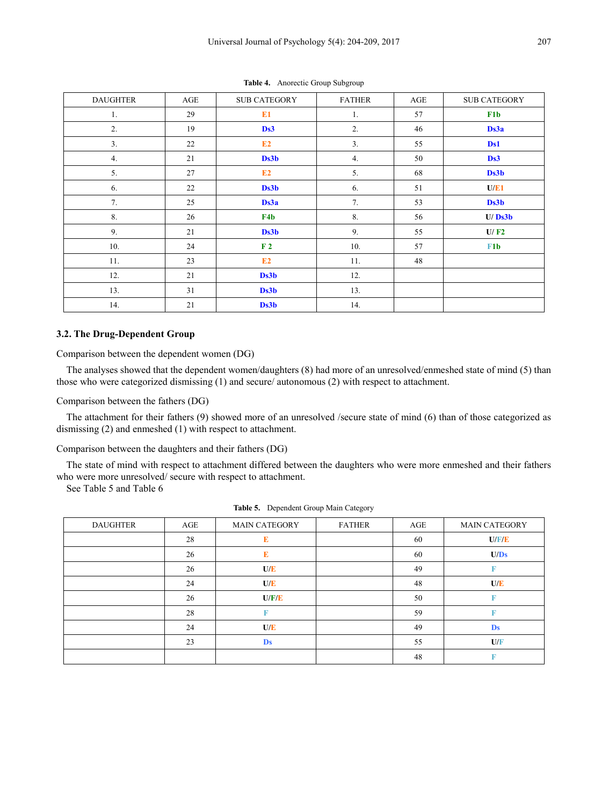| <b>DAUGHTER</b> | AGE | <b>SUB CATEGORY</b> | <b>FATHER</b>  | AGE | <b>SUB CATEGORY</b> |
|-----------------|-----|---------------------|----------------|-----|---------------------|
| 1.              | 29  | E1                  | 1.             | 57  | F1b                 |
| 2.              | 19  | Ds3                 | 2.             | 46  | Ds3a                |
| 3.              | 22  | E2                  | 3 <sub>1</sub> | 55  | D <sub>s1</sub>     |
| 4.              | 21  | Ds3b                | 4.             | 50  | Ds3                 |
| 5.              | 27  | E2                  | 5.             | 68  | Ds3b                |
| 6.              | 22  | Ds3b                | 6.             | 51  | U/E1                |
| 7.              | 25  | Ds3a                | 7.             | 53  | Ds3b                |
| 8.              | 26  | F <sub>4</sub> b    | 8.             | 56  | U/Ds3b              |
| 9.              | 21  | Ds3b                | 9.             | 55  | U/F2                |
| 10.             | 24  | F <sub>2</sub>      | 10.            | 57  | F <sub>1</sub> b    |
| 11.             | 23  | E2                  | 11.            | 48  |                     |
| 12.             | 21  | Ds3b                | 12.            |     |                     |
| 13.             | 31  | Ds3b                | 13.            |     |                     |
| 14.             | 21  | Ds3b                | 14.            |     |                     |

**Table 4.** Anorectic Group Subgroup

#### **3.2. The Drug-Dependent Group**

Comparison between the dependent women (DG)

The analyses showed that the dependent women/daughters (8) had more of an unresolved/enmeshed state of mind (5) than those who were categorized dismissing (1) and secure/ autonomous (2) with respect to attachment.

Comparison between the fathers (DG)

The attachment for their fathers (9) showed more of an unresolved /secure state of mind (6) than of those categorized as dismissing (2) and enmeshed (1) with respect to attachment.

Comparison between the daughters and their fathers (DG)

The state of mind with respect to attachment differed between the daughters who were more enmeshed and their fathers who were more unresolved/ secure with respect to attachment.

See Table 5 and Table 6

| <b>DAUGHTER</b> | AGE | <b>MAIN CATEGORY</b> | <b>FATHER</b> | AGE | <b>MAIN CATEGORY</b> |
|-----------------|-----|----------------------|---------------|-----|----------------------|
|                 | 28  | E                    |               | 60  | U/F/E                |
|                 | 26  | E                    |               | 60  | U/Ds                 |
|                 | 26  | U/E                  |               | 49  |                      |
|                 | 24  | U/E                  |               | 48  | U/E                  |
|                 | 26  | U/F/E                |               | 50  |                      |
|                 | 28  |                      |               | 59  |                      |
|                 | 24  | U/E                  |               | 49  | <b>Ds</b>            |
|                 | 23  | <b>Ds</b>            |               | 55  | U/F                  |
|                 |     |                      |               | 48  |                      |

**Table 5.** Dependent Group Main Category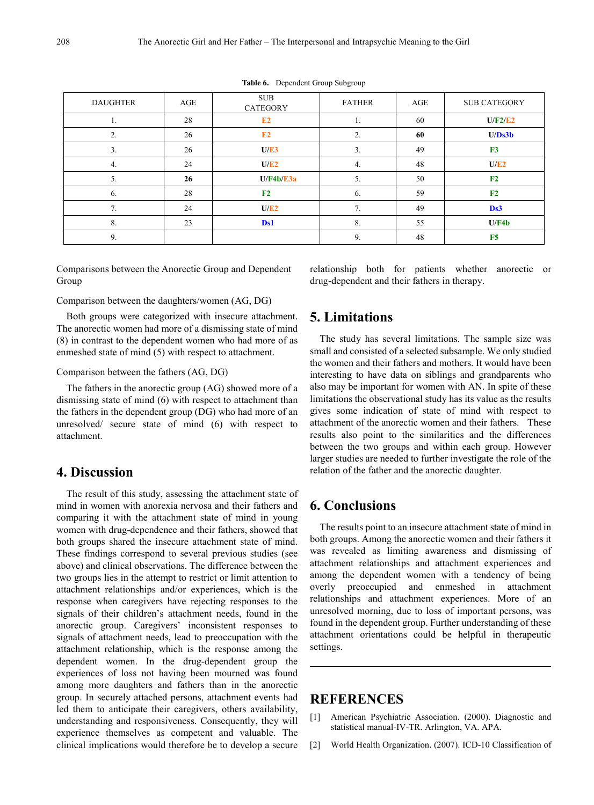| <b>DAUGHTER</b> | AGE | <b>SUB</b><br><b>CATEGORY</b> | <b>FATHER</b> | AGE | <b>SUB CATEGORY</b> |
|-----------------|-----|-------------------------------|---------------|-----|---------------------|
| 1.              | 28  | E2                            | 1.            | 60  | U/F2/E2             |
| 2.              | 26  | E2                            | 2.            | 60  | U/Ds3b              |
| 3.              | 26  | U/E3                          | 3.            | 49  | F3                  |
| 4.              | 24  | U/E2                          | 4.            | 48  | U/E2                |
| 5.              | 26  | U/F4b/E3a                     | 5.            | 50  | F <sub>2</sub>      |
| 6.              | 28  | F <sub>2</sub>                | 6.            | 59  | F <sub>2</sub>      |
| 7.              | 24  | U/E2                          | 7.            | 49  | Ds3                 |
| 8.              | 23  | Ds1                           | 8.            | 55  | U/F4b               |
| 9.              |     |                               | 9.            | 48  | F <sub>5</sub>      |

**Table 6.** Dependent Group Subgroup

Comparisons between the Anorectic Group and Dependent Group

Comparison between the daughters/women (AG, DG)

Both groups were categorized with insecure attachment. The anorectic women had more of a dismissing state of mind (8) in contrast to the dependent women who had more of as enmeshed state of mind (5) with respect to attachment.

Comparison between the fathers (AG, DG)

The fathers in the anorectic group (AG) showed more of a dismissing state of mind (6) with respect to attachment than the fathers in the dependent group (DG) who had more of an unresolved/ secure state of mind (6) with respect to attachment.

# **4. Discussion**

The result of this study, assessing the attachment state of mind in women with anorexia nervosa and their fathers and comparing it with the attachment state of mind in young women with drug-dependence and their fathers, showed that both groups shared the insecure attachment state of mind. These findings correspond to several previous studies (see above) and clinical observations. The difference between the two groups lies in the attempt to restrict or limit attention to attachment relationships and/or experiences, which is the response when caregivers have rejecting responses to the signals of their children's attachment needs, found in the anorectic group. Caregivers' inconsistent responses to signals of attachment needs, lead to preoccupation with the attachment relationship, which is the response among the dependent women. In the drug-dependent group the experiences of loss not having been mourned was found among more daughters and fathers than in the anorectic group. In securely attached persons, attachment events had led them to anticipate their caregivers, others availability, understanding and responsiveness. Consequently, they will experience themselves as competent and valuable. The clinical implications would therefore be to develop a secure relationship both for patients whether anorectic or drug-dependent and their fathers in therapy.

# **5. Limitations**

The study has several limitations. The sample size was small and consisted of a selected subsample. We only studied the women and their fathers and mothers. It would have been interesting to have data on siblings and grandparents who also may be important for women with AN. In spite of these limitations the observational study has its value as the results gives some indication of state of mind with respect to attachment of the anorectic women and their fathers. These results also point to the similarities and the differences between the two groups and within each group. However larger studies are needed to further investigate the role of the relation of the father and the anorectic daughter.

### **6. Conclusions**

The results point to an insecure attachment state of mind in both groups. Among the anorectic women and their fathers it was revealed as limiting awareness and dismissing of attachment relationships and attachment experiences and among the dependent women with a tendency of being overly preoccupied and enmeshed in attachment relationships and attachment experiences. More of an unresolved morning, due to loss of important persons, was found in the dependent group. Further understanding of these attachment orientations could be helpful in therapeutic settings.

## **REFERENCES**

- [1] American Psychiatric Association. (2000). Diagnostic and statistical manual-IV-TR. Arlington, VA. APA.
- [2] World Health Organization. (2007). ICD-10 Classification of